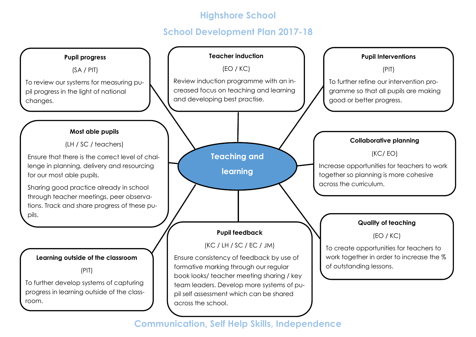### **School Development Plan 2017-18**

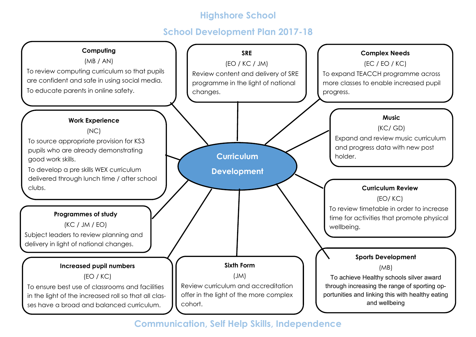### **School Development Plan 2017-18**

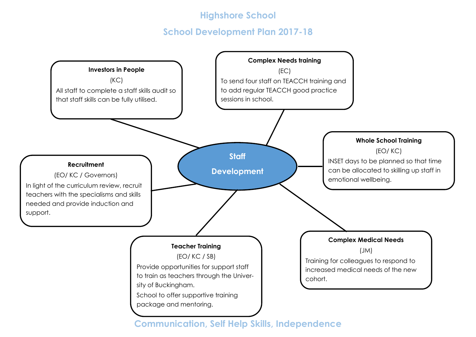### **School Development Plan 2017-18**

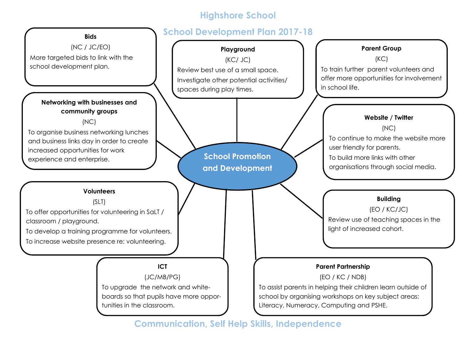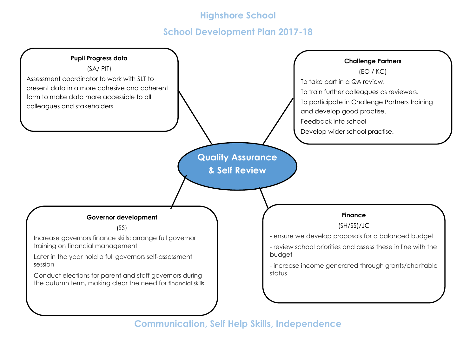### **School Development Plan 2017-18**